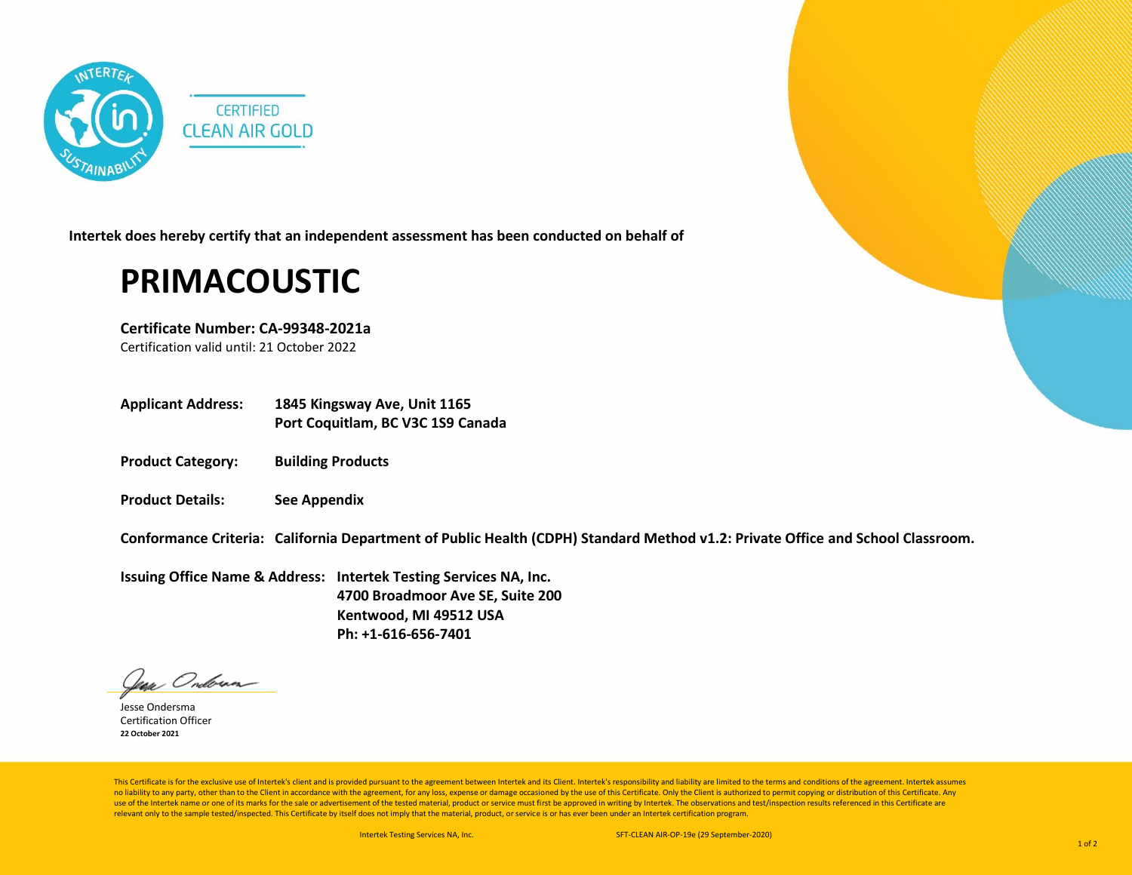

**Intertek does hereby certify that an independent assessment has been conducted on behalf of**

## **PRIMACOUSTIC**

**Certificate Number: CA-99348-2021a**

Certification valid until: 21 October 2022

- **Applicant Address: 1845 Kingsway Ave, Unit 1165 Port Coquitlam, BC V3C 1S9 Canada**
- **Product Category: Building Products**
- **Product Details: See Appendix**

**Conformance Criteria: California Department of Public Health (CDPH) Standard Method v1.2: Private Office and School Classroom.**

**Issuing Office Name & Address: Intertek Testing Services NA, Inc. 4700 Broadmoor Ave SE, Suite 200 Kentwood, MI 49512 USA Ph: +1-616-656-7401**

Jean Onderan

Jesse Ondersma Certification Officer **22 October 2021**

This Certificate is for the exclusive use of Intertek's client and is provided pursuant to the agreement between Intertek and its Client. Intertek's responsibility and liability are limited to the terms and conditions of t no liability to any party, other than to the Client in accordance with the agreement, for any loss, expense or damage occasioned by the use of this Certificate. Only the Client is authorized to permit copying or distributi use of the Intertek name or one of its marks for the sale or advertisement of the tested material, product or service must first be approved in writing by Intertek. The observations and test/inspection results referenced i relevant only to the sample tested/inspected. This Certificate by itself does not imply that the material, product, or service is or has ever been under an Intertek certification program.